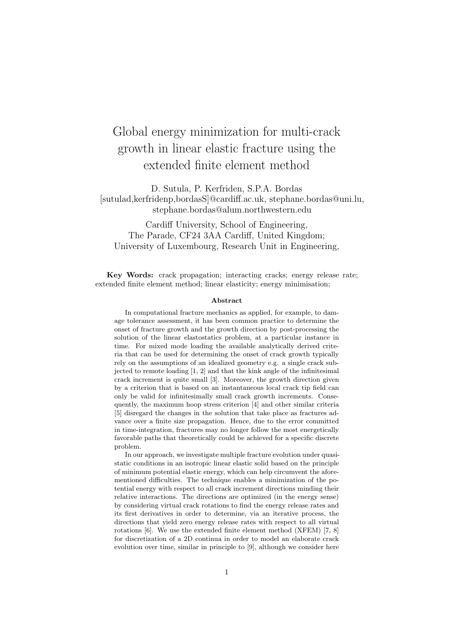## Global energy minimization for multi-crack growth in linear elastic fracture using the extended finite element method

D. Sutula, P. Kerfriden, S.P.A. Bordas [sutulad,kerfridenp,bordasS]@cardiff.ac.uk, stephane.bordas@uni.lu, stephane.bordas@alum.northwestern.edu

Cardiff University, School of Engineering, The Parade, CF24 3AA Cardiff, United Kingdom; University of Luxembourg, Research Unit in Engineering,

Key Words: crack propagation; interacting cracks; energy release rate; extended finite element method; linear elasticity; energy minimisation;

## Abstract

In computational fracture mechanics as applied, for example, to damage tolerance assessment, it has been common practice to determine the onset of fracture growth and the growth direction by post-processing the solution of the linear elastostatics problem, at a particular instance in time. For mixed mode loading the available analytically derived criteria that can be used for determining the onset of crack growth typically rely on the assumptions of an idealized geometry e.g. a single crack subjected to remote loading [1, 2] and that the kink angle of the infinitesimal crack increment is quite small [3]. Moreover, the growth direction given by a criterion that is based on an instantaneous local crack tip field can only be valid for infinitesimally small crack growth increments. Consequently, the maximum hoop stress criterion [4] and other similar criteria [5] disregard the changes in the solution that take place as fractures advance over a finite size propagation. Hence, due to the error committed in time-integration, fractures may no longer follow the most energetically favorable paths that theoretically could be achieved for a specific discrete problem.

In our approach, we investigate multiple fracture evolution under quasistatic conditions in an isotropic linear elastic solid based on the principle of minimum potential elastic energy, which can help circumvent the aforementioned difficulties. The technique enables a minimization of the potential energy with respect to all crack increment directions minding their relative interactions. The directions are optimized (in the energy sense) by considering virtual crack rotations to find the energy release rates and its first derivatives in order to determine, via an iterative process, the directions that yield zero energy release rates with respect to all virtual rotations [6]. We use the extended finite element method (XFEM) [7, 8] for discretization of a 2D continua in order to model an elaborate crack evolution over time, similar in principle to [9], although we consider here